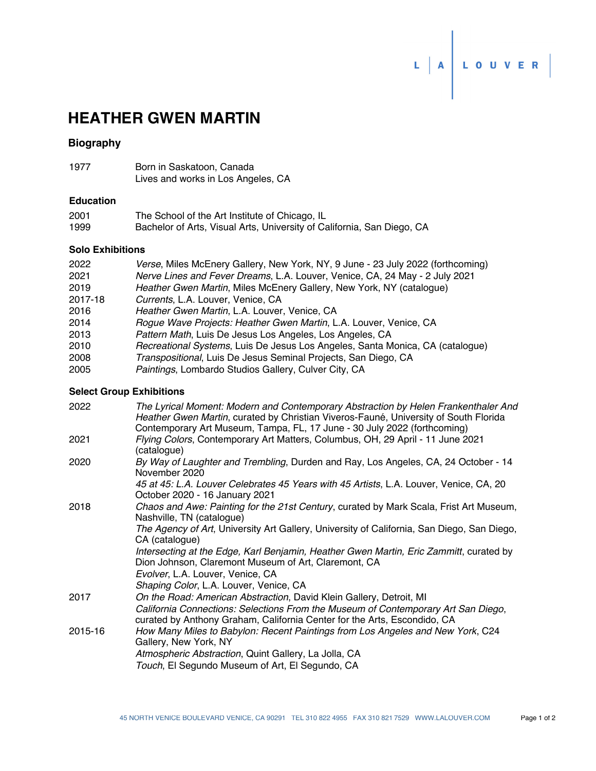# **HEATHER GWEN MARTIN**

# **Biography**

| 1977 | Born in Saskatoon, Canada          |  |
|------|------------------------------------|--|
|      | Lives and works in Los Angeles, CA |  |

## **Education**

| 2001 | The School of the Art Institute of Chicago, IL                         |
|------|------------------------------------------------------------------------|
| 1999 | Bachelor of Arts, Visual Arts, University of California, San Diego, CA |

#### **Solo Exhibitions**

| 2022    | Verse, Miles McEnery Gallery, New York, NY, 9 June - 23 July 2022 (forthcoming) |
|---------|---------------------------------------------------------------------------------|
| 2021    | Nerve Lines and Fever Dreams, L.A. Louver, Venice, CA, 24 May - 2 July 2021     |
| 2019    | Heather Gwen Martin, Miles McEnery Gallery, New York, NY (catalogue)            |
| 2017-18 | Currents, L.A. Louver, Venice, CA                                               |
| 2016    | Heather Gwen Martin, L.A. Louver, Venice, CA                                    |
| 2014    | Rogue Wave Projects: Heather Gwen Martin, L.A. Louver, Venice, CA               |
| 2013    | Pattern Math, Luis De Jesus Los Angeles, Los Angeles, CA                        |
| 2010    | Recreational Systems, Luis De Jesus Los Angeles, Santa Monica, CA (catalogue)   |
| 2008    | Transpositional, Luis De Jesus Seminal Projects, San Diego, CA                  |
| 2005    | Paintings, Lombardo Studios Gallery, Culver City, CA                            |

L A LOUVER

## **Select Group Exhibitions**

| 2022    | The Lyrical Moment: Modern and Contemporary Abstraction by Helen Frankenthaler And<br>Heather Gwen Martin, curated by Christian Viveros-Fauné, University of South Florida<br>Contemporary Art Museum, Tampa, FL, 17 June - 30 July 2022 (forthcoming) |
|---------|--------------------------------------------------------------------------------------------------------------------------------------------------------------------------------------------------------------------------------------------------------|
| 2021    | Flying Colors, Contemporary Art Matters, Columbus, OH, 29 April - 11 June 2021<br>(catalogue)                                                                                                                                                          |
| 2020    | By Way of Laughter and Trembling, Durden and Ray, Los Angeles, CA, 24 October - 14<br>November 2020                                                                                                                                                    |
|         | 45 at 45: L.A. Louver Celebrates 45 Years with 45 Artists, L.A. Louver, Venice, CA, 20<br>October 2020 - 16 January 2021                                                                                                                               |
| 2018    | Chaos and Awe: Painting for the 21st Century, curated by Mark Scala, Frist Art Museum,<br>Nashville, TN (catalogue)                                                                                                                                    |
|         | The Agency of Art, University Art Gallery, University of California, San Diego, San Diego,<br>CA (catalogue)                                                                                                                                           |
|         | Intersecting at the Edge, Karl Benjamin, Heather Gwen Martin, Eric Zammitt, curated by<br>Dion Johnson, Claremont Museum of Art, Claremont, CA                                                                                                         |
|         | Evolver, L.A. Louver, Venice, CA                                                                                                                                                                                                                       |
|         | Shaping Color, L.A. Louver, Venice, CA                                                                                                                                                                                                                 |
| 2017    | On the Road: American Abstraction, David Klein Gallery, Detroit, MI<br>California Connections: Selections From the Museum of Contemporary Art San Diego,<br>curated by Anthony Graham, California Center for the Arts, Escondido, CA                   |
| 2015-16 | How Many Miles to Babylon: Recent Paintings from Los Angeles and New York, C24<br>Gallery, New York, NY                                                                                                                                                |
|         | Atmospheric Abstraction, Quint Gallery, La Jolla, CA                                                                                                                                                                                                   |
|         | Touch, El Segundo Museum of Art, El Segundo, CA                                                                                                                                                                                                        |